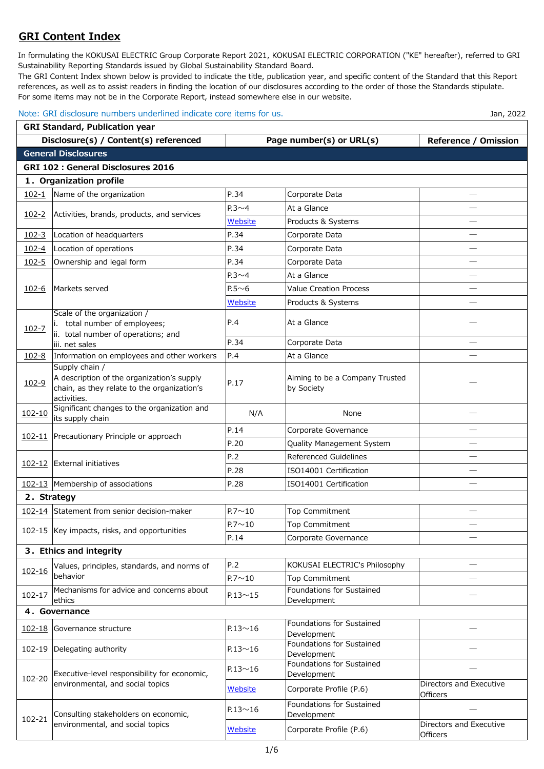## **GRI Content Index**

In formulating the KOKUSAI ELECTRIC Group Corporate Report 2021, KOKUSAI ELECTRIC CORPORATION ("KE" hereafter), referred to GRI Sustainability Reporting Standards issued by Global Sustainability Standard Board.

The GRI Content Index shown below is provided to indicate the title, publication year, and specific content of the Standard that this Report references, as well as to assist readers in finding the location of our disclosures according to the order of those the Standards stipulate. For some items may not be in the Corporate Report, instead somewhere else in our website.

## Note: GRI disclosure numbers underlined indicate core items for us. Jan and the state of the state of the state of the state of the state of the state of the state of the state of the state of the state of the state of the

| <b>GRI Standard, Publication year</b> |                                                                                  |                |                                          |                             |  |  |
|---------------------------------------|----------------------------------------------------------------------------------|----------------|------------------------------------------|-----------------------------|--|--|
|                                       | Disclosure(s) / Content(s) referenced                                            |                | Page number(s) or URL(s)                 | <b>Reference / Omission</b> |  |  |
|                                       | <b>General Disclosures</b>                                                       |                |                                          |                             |  |  |
|                                       | <b>GRI 102 : General Disclosures 2016</b>                                        |                |                                          |                             |  |  |
|                                       | 1. Organization profile                                                          |                |                                          |                             |  |  |
| $102 - 1$                             | Name of the organization                                                         | P.34           | Corporate Data                           |                             |  |  |
|                                       |                                                                                  | $P.3 \sim 4$   | At a Glance                              |                             |  |  |
| $102 - 2$                             | Activities, brands, products, and services                                       | Website        | Products & Systems                       |                             |  |  |
| $102 - 3$                             | Location of headquarters                                                         | P.34           | Corporate Data                           |                             |  |  |
| $102 - 4$                             | Location of operations                                                           | P.34           | Corporate Data                           |                             |  |  |
| $102 - 5$                             | Ownership and legal form                                                         | P.34           | Corporate Data                           |                             |  |  |
|                                       |                                                                                  | $P.3 \sim 4$   | At a Glance                              |                             |  |  |
| $102 - 6$                             | Markets served                                                                   | $P.5 \sim 6$   | <b>Value Creation Process</b>            |                             |  |  |
|                                       |                                                                                  | Website        | Products & Systems                       |                             |  |  |
|                                       | Scale of the organization /                                                      |                |                                          |                             |  |  |
| $102 - 7$                             | total number of employees;                                                       | P.4            | At a Glance                              |                             |  |  |
|                                       | ii. total number of operations; and<br>iii. net sales                            | P.34           | Corporate Data                           |                             |  |  |
| $102 - 8$                             | Information on employees and other workers                                       | P.4            | At a Glance                              |                             |  |  |
|                                       | Supply chain /                                                                   |                |                                          |                             |  |  |
| $102 - 9$                             | A description of the organization's supply                                       | P.17           | Aiming to be a Company Trusted           |                             |  |  |
|                                       | chain, as they relate to the organization's<br>activities.                       |                | by Society                               |                             |  |  |
|                                       | Significant changes to the organization and                                      |                |                                          |                             |  |  |
| $102 - 10$                            | its supply chain                                                                 | N/A            | None                                     |                             |  |  |
| $102 - 11$                            | Precautionary Principle or approach                                              | P.14           | Corporate Governance                     |                             |  |  |
|                                       |                                                                                  | P.20           | Quality Management System                |                             |  |  |
| 102-12                                | External initiatives                                                             | P.2            | <b>Referenced Guidelines</b>             |                             |  |  |
|                                       |                                                                                  | P.28           | ISO14001 Certification                   |                             |  |  |
|                                       | 102-13 Membership of associations                                                | P.28           | ISO14001 Certification                   |                             |  |  |
| 2. Strategy                           |                                                                                  |                |                                          |                             |  |  |
|                                       | 102-14 Statement from senior decision-maker                                      | $P.7 \sim 10$  | <b>Top Commitment</b>                    |                             |  |  |
|                                       | 102-15 Key impacts, risks, and opportunities                                     | $P.7 \sim 10$  | <b>Top Commitment</b>                    |                             |  |  |
|                                       |                                                                                  | P.14           | Corporate Governance                     |                             |  |  |
|                                       | 3. Ethics and integrity                                                          |                |                                          |                             |  |  |
|                                       | Values, principles, standards, and norms of                                      | P.2            | KOKUSAI ELECTRIC's Philosophy            |                             |  |  |
| $102 - 16$                            | behavior                                                                         | $P.7 \sim 10$  | <b>Top Commitment</b>                    |                             |  |  |
| $102 - 17$                            | Mechanisms for advice and concerns about                                         | $P.13 \sim 15$ | Foundations for Sustained                |                             |  |  |
|                                       | ethics                                                                           |                | Development                              |                             |  |  |
|                                       | 4. Governance                                                                    |                |                                          |                             |  |  |
| 102-18                                | Governance structure                                                             | $P.13 \sim 16$ | Foundations for Sustained<br>Development |                             |  |  |
|                                       | 102-19 Delegating authority                                                      | $P.13 \sim 16$ | Foundations for Sustained                |                             |  |  |
|                                       |                                                                                  |                | Development                              |                             |  |  |
| 102-20                                | Executive-level responsibility for economic,<br>environmental, and social topics | $P.13 \sim 16$ | Foundations for Sustained<br>Development |                             |  |  |
|                                       |                                                                                  |                |                                          | Directors and Executive     |  |  |
|                                       |                                                                                  | Website        | Corporate Profile (P.6)                  | <b>Officers</b>             |  |  |
| 102-21                                | Consulting stakeholders on economic,<br>environmental, and social topics         | $P.13 \sim 16$ | Foundations for Sustained                |                             |  |  |
|                                       |                                                                                  |                | Development                              | Directors and Executive     |  |  |
|                                       |                                                                                  | Website        | Corporate Profile (P.6)                  | Officers                    |  |  |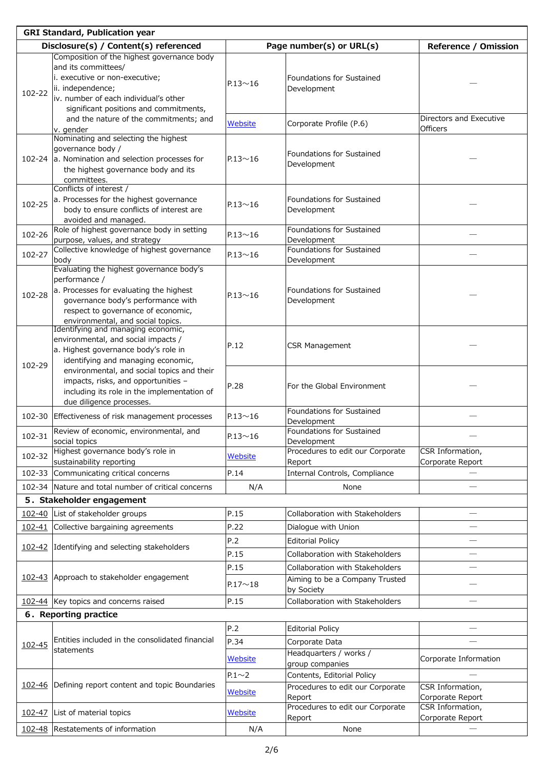| <b>GRI Standard, Publication year</b>                                                                                                                                                                                                                  |                |                                                                |                                      |  |  |
|--------------------------------------------------------------------------------------------------------------------------------------------------------------------------------------------------------------------------------------------------------|----------------|----------------------------------------------------------------|--------------------------------------|--|--|
| Disclosure(s) / Content(s) referenced                                                                                                                                                                                                                  |                | Page number(s) or URL(s)                                       | <b>Reference / Omission</b>          |  |  |
| Composition of the highest governance body<br>and its committees/<br>i. executive or non-executive;<br>ii. independence;<br>102-22<br>iv, number of each individual's other                                                                            | $P.13 \sim 16$ | Foundations for Sustained<br>Development                       |                                      |  |  |
| significant positions and commitments,<br>and the nature of the commitments; and                                                                                                                                                                       | Website        | Corporate Profile (P.6)                                        | Directors and Executive              |  |  |
| v. gender<br>Nominating and selecting the highest                                                                                                                                                                                                      |                |                                                                | <b>Officers</b>                      |  |  |
| governance body /<br>102-24 a. Nomination and selection processes for<br>the highest governance body and its<br>committees.<br>Conflicts of interest /                                                                                                 | $P.13 \sim 16$ | Foundations for Sustained<br>Development                       |                                      |  |  |
| a. Processes for the highest governance<br>102-25<br>body to ensure conflicts of interest are                                                                                                                                                          | $P.13 \sim 16$ | Foundations for Sustained<br>Development                       |                                      |  |  |
| avoided and managed.<br>Role of highest governance body in setting<br>102-26<br>purpose, values, and strategy                                                                                                                                          | $P.13 \sim 16$ | Foundations for Sustained<br>Development                       |                                      |  |  |
| Collective knowledge of highest governance<br>102-27<br>body                                                                                                                                                                                           | $P.13 \sim 16$ | Foundations for Sustained<br>Development                       |                                      |  |  |
| Evaluating the highest governance body's<br>performance /<br>a. Processes for evaluating the highest<br>102-28<br>governance body's performance with<br>respect to governance of economic,<br>environmental, and social topics.                        | $P.13 \sim 16$ | Foundations for Sustained<br>Development                       |                                      |  |  |
| Identifying and managing economic,<br>environmental, and social impacts /<br>a. Highest governance body's role in<br>identifying and managing economic,<br>102-29<br>environmental, and social topics and their<br>impacts, risks, and opportunities - | P.12           | <b>CSR Management</b>                                          |                                      |  |  |
| including its role in the implementation of<br>due diligence processes.                                                                                                                                                                                | P.28           | For the Global Environment                                     |                                      |  |  |
| 102-30<br>Effectiveness of risk management processes                                                                                                                                                                                                   | $P.13 \sim 16$ | <b>Foundations for Sustained</b><br>Development                |                                      |  |  |
| Review of economic, environmental, and<br>102-31<br>social topics                                                                                                                                                                                      | $P.13 \sim 16$ | Foundations for Sustained<br>Development                       |                                      |  |  |
| Highest governance body's role in<br>102-32<br>sustainability reporting                                                                                                                                                                                | Website        | Procedures to edit our Corporate<br>Report                     | CSR Information,<br>Corporate Report |  |  |
| 102-33 Communicating critical concerns                                                                                                                                                                                                                 | P.14           | Internal Controls, Compliance                                  |                                      |  |  |
| 102-34 Nature and total number of critical concerns                                                                                                                                                                                                    | N/A            | None                                                           |                                      |  |  |
| 5. Stakeholder engagement                                                                                                                                                                                                                              |                |                                                                |                                      |  |  |
| List of stakeholder groups<br>$102 - 40$                                                                                                                                                                                                               | P.15           | Collaboration with Stakeholders                                |                                      |  |  |
| 102-41 Collective bargaining agreements                                                                                                                                                                                                                | P.22           | Dialogue with Union                                            |                                      |  |  |
|                                                                                                                                                                                                                                                        | P.2            | <b>Editorial Policy</b>                                        |                                      |  |  |
| 102-42 Identifying and selecting stakeholders                                                                                                                                                                                                          | P.15           | Collaboration with Stakeholders                                |                                      |  |  |
|                                                                                                                                                                                                                                                        | P.15           | Collaboration with Stakeholders                                |                                      |  |  |
| 102-43 Approach to stakeholder engagement                                                                                                                                                                                                              | $P.17 \sim 18$ | Aiming to be a Company Trusted<br>by Society                   |                                      |  |  |
| 102-44 Key topics and concerns raised                                                                                                                                                                                                                  | P.15           | Collaboration with Stakeholders                                |                                      |  |  |
| 6. Reporting practice                                                                                                                                                                                                                                  |                |                                                                |                                      |  |  |
|                                                                                                                                                                                                                                                        | P.2            | <b>Editorial Policy</b>                                        |                                      |  |  |
| Entities included in the consolidated financial<br>102-45<br>statements                                                                                                                                                                                | P.34           | Corporate Data                                                 |                                      |  |  |
|                                                                                                                                                                                                                                                        | Website        | Headquarters / works /<br>group companies                      | Corporate Information                |  |  |
| 102-46 Defining report content and topic Boundaries                                                                                                                                                                                                    | $P.1 \sim 2$   | Contents, Editorial Policy<br>Procedures to edit our Corporate | CSR Information,                     |  |  |
|                                                                                                                                                                                                                                                        | Website        | Report                                                         | Corporate Report                     |  |  |
| List of material topics<br>102-47                                                                                                                                                                                                                      | Website        | Procedures to edit our Corporate<br>Report                     | CSR Information,<br>Corporate Report |  |  |
| 102-48 Restatements of information                                                                                                                                                                                                                     | N/A            | None                                                           |                                      |  |  |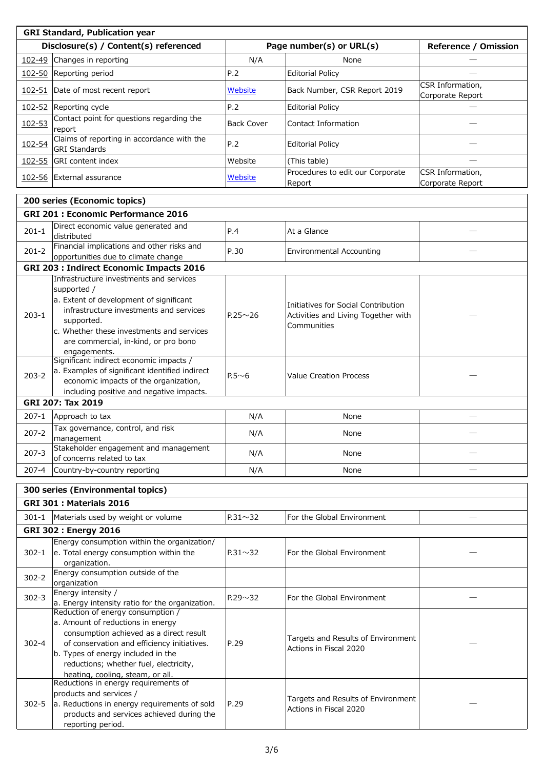| <b>GRI Standard, Publication year</b> |                                                                                                        |                   |                                            |                                      |  |  |
|---------------------------------------|--------------------------------------------------------------------------------------------------------|-------------------|--------------------------------------------|--------------------------------------|--|--|
|                                       | Disclosure(s) / Content(s) referenced                                                                  |                   | Page number(s) or URL(s)                   | <b>Reference / Omission</b>          |  |  |
| 102-49                                | Changes in reporting                                                                                   | N/A               | None                                       |                                      |  |  |
|                                       | 102-50 Reporting period                                                                                | P.2               | <b>Editorial Policy</b>                    |                                      |  |  |
| $102 - 51$                            | Date of most recent report                                                                             | Website           | Back Number, CSR Report 2019               | CSR Information,<br>Corporate Report |  |  |
| $102 - 52$                            | Reporting cycle                                                                                        | P.2               | <b>Editorial Policy</b>                    |                                      |  |  |
| 102-53                                | Contact point for questions regarding the<br>report                                                    | <b>Back Cover</b> | Contact Information                        |                                      |  |  |
| 102-54                                | Claims of reporting in accordance with the<br><b>GRI Standards</b>                                     | P.2               | <b>Editorial Policy</b>                    |                                      |  |  |
| 102-55                                | <b>GRI</b> content index                                                                               | Website           | (This table)                               |                                      |  |  |
|                                       | 102-56 External assurance                                                                              | <b>Website</b>    | Procedures to edit our Corporate<br>Report | CSR Information,<br>Corporate Report |  |  |
|                                       | 200 series (Economic topics)                                                                           |                   |                                            |                                      |  |  |
|                                       | <b>GRI 201: Economic Performance 2016</b>                                                              |                   |                                            |                                      |  |  |
|                                       | Direct economic value generated and                                                                    |                   |                                            |                                      |  |  |
| $201 - 1$                             | distributed                                                                                            | P.4               | At a Glance                                |                                      |  |  |
| $201 - 2$                             | Financial implications and other risks and                                                             | P.30              | <b>Environmental Accounting</b>            |                                      |  |  |
|                                       | opportunities due to climate change<br><b>GRI 203 : Indirect Economic Impacts 2016</b>                 |                   |                                            |                                      |  |  |
|                                       | Infrastructure investments and services                                                                |                   |                                            |                                      |  |  |
|                                       | supported /                                                                                            |                   |                                            |                                      |  |  |
|                                       | a. Extent of development of significant                                                                |                   | Initiatives for Social Contribution        |                                      |  |  |
| $203 - 1$                             | infrastructure investments and services                                                                | $P.25 \sim 26$    | Activities and Living Together with        |                                      |  |  |
|                                       | supported.                                                                                             |                   | Communities                                |                                      |  |  |
|                                       | c. Whether these investments and services                                                              |                   |                                            |                                      |  |  |
|                                       | are commercial, in-kind, or pro bono                                                                   |                   |                                            |                                      |  |  |
|                                       | engagements.<br>Significant indirect economic impacts /                                                |                   |                                            |                                      |  |  |
|                                       | a. Examples of significant identified indirect                                                         |                   |                                            |                                      |  |  |
| $203 - 2$                             | economic impacts of the organization,                                                                  | $P.5 \sim 6$      | <b>Value Creation Process</b>              |                                      |  |  |
|                                       | including positive and negative impacts.                                                               |                   |                                            |                                      |  |  |
|                                       | GRI 207: Tax 2019                                                                                      |                   |                                            |                                      |  |  |
| $207 - 1$                             | Approach to tax                                                                                        | N/A               | None                                       |                                      |  |  |
| $207 - 2$                             | Tax governance, control, and risk<br>management                                                        | N/A               | None                                       |                                      |  |  |
| $207 - 3$                             | Stakeholder engagement and management<br>of concerns related to tax                                    | N/A               | None                                       |                                      |  |  |
| 207-4                                 | Country-by-country reporting                                                                           | N/A               | None                                       |                                      |  |  |
|                                       |                                                                                                        |                   |                                            |                                      |  |  |
|                                       | 300 series (Environmental topics)                                                                      |                   |                                            |                                      |  |  |
|                                       | <b>GRI 301 : Materials 2016</b>                                                                        |                   |                                            |                                      |  |  |
| $301 - 1$                             | Materials used by weight or volume                                                                     | $P.31 \sim 32$    | For the Global Environment                 |                                      |  |  |
|                                       | <b>GRI 302: Energy 2016</b>                                                                            |                   |                                            |                                      |  |  |
| $302 - 1$                             | Energy consumption within the organization/<br>e. Total energy consumption within the<br>organization. | $P.31 \sim 32$    | For the Global Environment                 |                                      |  |  |
| $302 - 2$                             | Energy consumption outside of the<br>organization                                                      |                   |                                            |                                      |  |  |
|                                       | Energy intensity /                                                                                     |                   |                                            |                                      |  |  |
| $302 - 3$                             | a. Energy intensity ratio for the organization.                                                        | $P.29 \sim 32$    | For the Global Environment                 |                                      |  |  |
|                                       | Reduction of energy consumption /                                                                      |                   |                                            |                                      |  |  |
| $302 - 4$                             | a. Amount of reductions in energy                                                                      |                   |                                            |                                      |  |  |
|                                       | consumption achieved as a direct result<br>of conservation and efficiency initiatives.                 | P.29              | Targets and Results of Environment         |                                      |  |  |
|                                       | b. Types of energy included in the                                                                     |                   | Actions in Fiscal 2020                     |                                      |  |  |
|                                       | reductions; whether fuel, electricity,                                                                 |                   |                                            |                                      |  |  |
|                                       | heating, cooling, steam, or all.                                                                       |                   |                                            |                                      |  |  |
|                                       | Reductions in energy requirements of                                                                   |                   |                                            |                                      |  |  |
|                                       | products and services /                                                                                |                   | Targets and Results of Environment         |                                      |  |  |
| $302 - 5$                             | a. Reductions in energy requirements of sold                                                           | P.29              | Actions in Fiscal 2020                     |                                      |  |  |
|                                       | products and services achieved during the                                                              |                   |                                            |                                      |  |  |
|                                       | reporting period.                                                                                      |                   |                                            |                                      |  |  |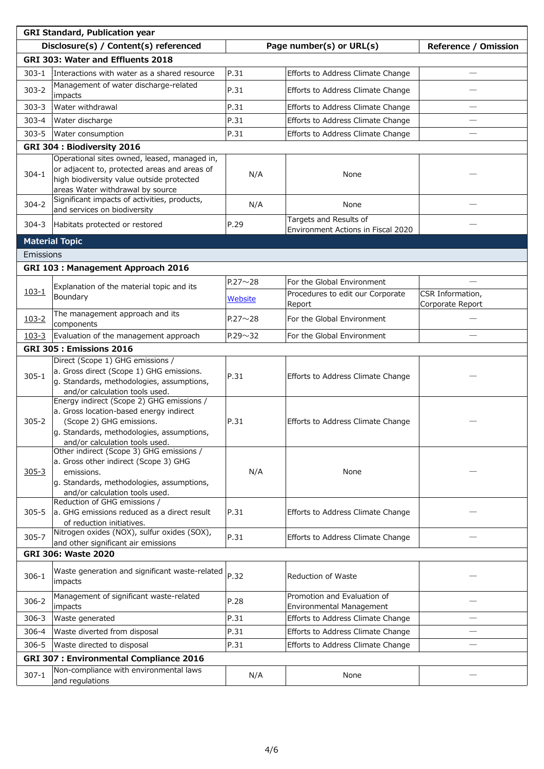| <b>GRI Standard, Publication year</b>          |                                                                                                                                                                                                 |                |                                                              |                                      |  |
|------------------------------------------------|-------------------------------------------------------------------------------------------------------------------------------------------------------------------------------------------------|----------------|--------------------------------------------------------------|--------------------------------------|--|
|                                                | Disclosure(s) / Content(s) referenced<br>Page number(s) or URL(s)                                                                                                                               |                |                                                              | <b>Reference / Omission</b>          |  |
|                                                | GRI 303: Water and Effluents 2018                                                                                                                                                               |                |                                                              |                                      |  |
| $303 - 1$                                      | Interactions with water as a shared resource                                                                                                                                                    | P.31           | Efforts to Address Climate Change                            |                                      |  |
| $303 - 2$                                      | Management of water discharge-related<br>impacts                                                                                                                                                | P.31           | Efforts to Address Climate Change                            |                                      |  |
| $303 - 3$                                      | <b>Water withdrawal</b>                                                                                                                                                                         | P.31           | Efforts to Address Climate Change                            |                                      |  |
| $303 - 4$                                      | Water discharge                                                                                                                                                                                 | P.31           | Efforts to Address Climate Change                            |                                      |  |
| $303 - 5$                                      | Water consumption                                                                                                                                                                               | P.31           | Efforts to Address Climate Change                            |                                      |  |
|                                                | GRI 304 : Biodiversity 2016                                                                                                                                                                     |                |                                                              |                                      |  |
| $304 - 1$                                      | Operational sites owned, leased, managed in,<br>or adjacent to, protected areas and areas of<br>high biodiversity value outside protected<br>areas Water withdrawal by source                   | N/A            | None                                                         |                                      |  |
| $304 - 2$                                      | Significant impacts of activities, products,<br>and services on biodiversity                                                                                                                    | N/A            | None                                                         |                                      |  |
| $304 - 3$                                      | Habitats protected or restored                                                                                                                                                                  | P.29           | Targets and Results of<br>Environment Actions in Fiscal 2020 |                                      |  |
|                                                | <b>Material Topic</b>                                                                                                                                                                           |                |                                                              |                                      |  |
| Emissions                                      |                                                                                                                                                                                                 |                |                                                              |                                      |  |
|                                                | <b>GRI 103: Management Approach 2016</b>                                                                                                                                                        |                |                                                              |                                      |  |
|                                                | Explanation of the material topic and its                                                                                                                                                       | $P.27 \sim 28$ | For the Global Environment                                   |                                      |  |
| $103 - 1$                                      | Boundary                                                                                                                                                                                        | <b>Website</b> | Procedures to edit our Corporate<br>Report                   | CSR Information,<br>Corporate Report |  |
| $103 - 2$                                      | The management approach and its<br>components                                                                                                                                                   | $P.27 \sim 28$ | For the Global Environment                                   |                                      |  |
| $103 - 3$                                      | Evaluation of the management approach                                                                                                                                                           | $P.29 \sim 32$ | For the Global Environment                                   |                                      |  |
|                                                | <b>GRI 305: Emissions 2016</b>                                                                                                                                                                  |                |                                                              |                                      |  |
| $305 - 1$                                      | Direct (Scope 1) GHG emissions /<br>a. Gross direct (Scope 1) GHG emissions.<br>g. Standards, methodologies, assumptions,<br>and/or calculation tools used.                                     | P.31           | Efforts to Address Climate Change                            |                                      |  |
| $305 - 2$                                      | Energy indirect (Scope 2) GHG emissions /<br>a. Gross location-based energy indirect<br>(Scope 2) GHG emissions.<br>g. Standards, methodologies, assumptions,<br>and/or calculation tools used. | P.31           | Efforts to Address Climate Change                            |                                      |  |
| $305 - 3$                                      | Other indirect (Scope 3) GHG emissions /<br>a. Gross other indirect (Scope 3) GHG<br>emissions.<br>g. Standards, methodologies, assumptions,<br>and/or calculation tools used.                  | N/A            | None                                                         |                                      |  |
| $305 - 5$                                      | Reduction of GHG emissions /<br>a. GHG emissions reduced as a direct result<br>of reduction initiatives.                                                                                        | P.31           | Efforts to Address Climate Change                            |                                      |  |
| $305 - 7$                                      | Nitrogen oxides (NOX), sulfur oxides (SOX),<br>and other significant air emissions                                                                                                              | P.31           | Efforts to Address Climate Change                            |                                      |  |
|                                                | <b>GRI 306: Waste 2020</b>                                                                                                                                                                      |                |                                                              |                                      |  |
| $306 - 1$                                      | Waste generation and significant waste-related<br>impacts                                                                                                                                       | P.32           | Reduction of Waste                                           |                                      |  |
| $306 - 2$                                      | Management of significant waste-related<br>impacts                                                                                                                                              | P.28           | Promotion and Evaluation of<br>Environmental Management      |                                      |  |
| $306 - 3$                                      | Waste generated                                                                                                                                                                                 | P.31           | Efforts to Address Climate Change                            |                                      |  |
| $306 - 4$                                      | Waste diverted from disposal                                                                                                                                                                    | P.31           | Efforts to Address Climate Change                            |                                      |  |
| $306 - 5$                                      | Waste directed to disposal                                                                                                                                                                      | P.31           | Efforts to Address Climate Change                            |                                      |  |
| <b>GRI 307 : Environmental Compliance 2016</b> |                                                                                                                                                                                                 |                |                                                              |                                      |  |
| $307 - 1$                                      | Non-compliance with environmental laws<br>and regulations                                                                                                                                       | N/A            | None                                                         |                                      |  |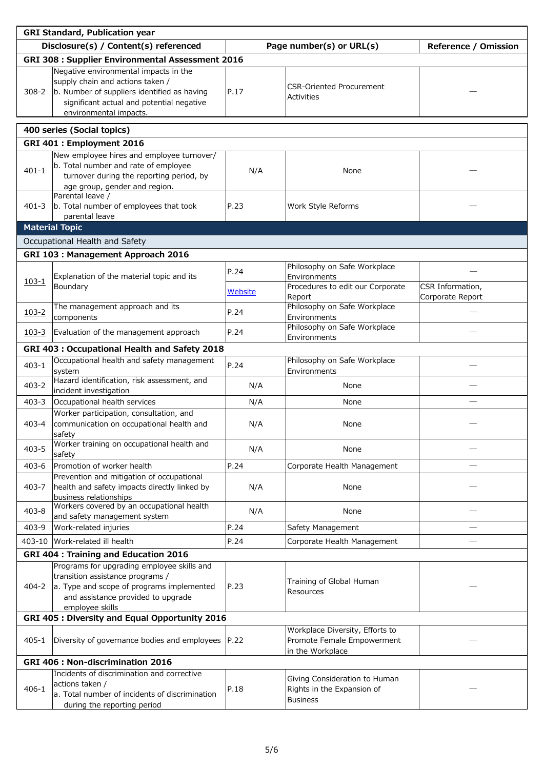| <b>GRI Standard, Publication year</b>          |                                                                                                                                                                                                 |         |                                                                                   |                             |  |
|------------------------------------------------|-------------------------------------------------------------------------------------------------------------------------------------------------------------------------------------------------|---------|-----------------------------------------------------------------------------------|-----------------------------|--|
|                                                | Disclosure(s) / Content(s) referenced                                                                                                                                                           |         | Page number(s) or URL(s)                                                          | <b>Reference / Omission</b> |  |
|                                                | <b>GRI 308 : Supplier Environmental Assessment 2016</b>                                                                                                                                         |         |                                                                                   |                             |  |
| $308 - 2$                                      | Negative environmental impacts in the<br>supply chain and actions taken /<br>b. Number of suppliers identified as having<br>significant actual and potential negative<br>environmental impacts. | P.17    | <b>CSR-Oriented Procurement</b><br><b>Activities</b>                              |                             |  |
|                                                | 400 series (Social topics)                                                                                                                                                                      |         |                                                                                   |                             |  |
|                                                | GRI 401 : Employment 2016                                                                                                                                                                       |         |                                                                                   |                             |  |
|                                                | New employee hires and employee turnover/                                                                                                                                                       |         |                                                                                   |                             |  |
| $401 - 1$                                      | b. Total number and rate of employee<br>turnover during the reporting period, by<br>age group, gender and region.                                                                               | N/A     | None                                                                              |                             |  |
| $401 - 3$                                      | Parental leave /<br>b. Total number of employees that took<br>parental leave                                                                                                                    | P.23    | Work Style Reforms                                                                |                             |  |
|                                                | <b>Material Topic</b>                                                                                                                                                                           |         |                                                                                   |                             |  |
|                                                | Occupational Health and Safety                                                                                                                                                                  |         |                                                                                   |                             |  |
|                                                |                                                                                                                                                                                                 |         |                                                                                   |                             |  |
|                                                | GRI 103 : Management Approach 2016                                                                                                                                                              |         | Philosophy on Safe Workplace                                                      |                             |  |
| $103 - 1$                                      | Explanation of the material topic and its<br>Boundary                                                                                                                                           | P.24    | Environments<br>Procedures to edit our Corporate                                  | CSR Information,            |  |
|                                                |                                                                                                                                                                                                 | Website | Report                                                                            | Corporate Report            |  |
| $103 - 2$                                      | The management approach and its<br>components                                                                                                                                                   | P.24    | Philosophy on Safe Workplace<br>Environments                                      |                             |  |
| $103 - 3$                                      | Evaluation of the management approach                                                                                                                                                           | P.24    | Philosophy on Safe Workplace<br>Environments                                      |                             |  |
|                                                | GRI 403 : Occupational Health and Safety 2018                                                                                                                                                   |         |                                                                                   |                             |  |
| $403 - 1$                                      | Occupational health and safety management<br>system                                                                                                                                             | P.24    | Philosophy on Safe Workplace<br>Environments                                      |                             |  |
| $403 - 2$                                      | Hazard identification, risk assessment, and<br>incident investigation                                                                                                                           | N/A     | None                                                                              |                             |  |
| $403 - 3$                                      | Occupational health services                                                                                                                                                                    | N/A     | None                                                                              |                             |  |
| $403 - 4$                                      | Worker participation, consultation, and<br>communication on occupational health and<br>safety                                                                                                   | N/A     | None                                                                              |                             |  |
| $403 - 5$                                      | Worker training on occupational health and<br>safety                                                                                                                                            | N/A     | None                                                                              |                             |  |
| 403-6                                          | Promotion of worker health<br>Prevention and mitigation of occupational                                                                                                                         | P.24    | Corporate Health Management                                                       |                             |  |
| $403 - 7$                                      | health and safety impacts directly linked by<br>business relationships                                                                                                                          | N/A     | None                                                                              |                             |  |
| $403 - 8$                                      | Workers covered by an occupational health<br>and safety management system                                                                                                                       | N/A     | None                                                                              |                             |  |
| $403 - 9$                                      | Work-related injuries                                                                                                                                                                           | P.24    | Safety Management                                                                 |                             |  |
|                                                | 403-10 Work-related ill health                                                                                                                                                                  | P.24    | Corporate Health Management                                                       |                             |  |
|                                                | <b>GRI 404: Training and Education 2016</b>                                                                                                                                                     |         |                                                                                   |                             |  |
| 404-2                                          | Programs for upgrading employee skills and<br>transition assistance programs /<br>a. Type and scope of programs implemented<br>and assistance provided to upgrade<br>employee skills            | P.23    | Training of Global Human<br>Resources                                             |                             |  |
| GRI 405 : Diversity and Equal Opportunity 2016 |                                                                                                                                                                                                 |         |                                                                                   |                             |  |
| $405 - 1$                                      | Diversity of governance bodies and employees   P.22                                                                                                                                             |         | Workplace Diversity, Efforts to<br>Promote Female Empowerment<br>in the Workplace |                             |  |
| <b>GRI 406 : Non-discrimination 2016</b>       |                                                                                                                                                                                                 |         |                                                                                   |                             |  |
| $406 - 1$                                      | Incidents of discrimination and corrective<br>actions taken /<br>a. Total number of incidents of discrimination<br>during the reporting period                                                  | P.18    | Giving Consideration to Human<br>Rights in the Expansion of<br><b>Business</b>    |                             |  |